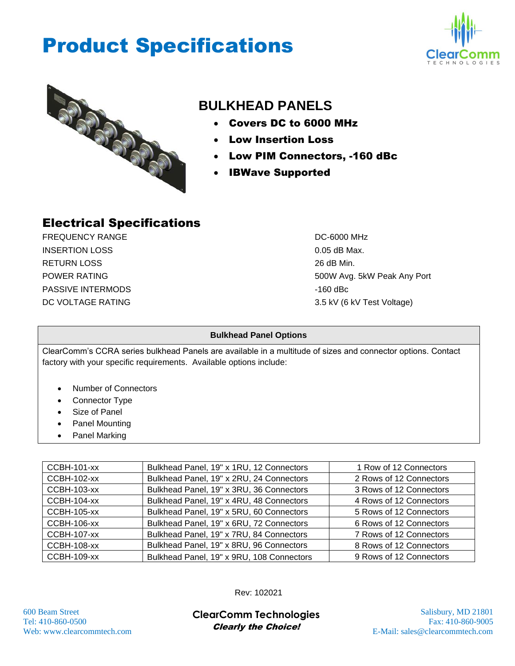## Product Specifications





## **BULKHEAD PANELS**

- Covers DC to 6000 MHz
- Low Insertion Loss
- Low PIM Connectors, -160 dBc
- IBWave Supported

#### Electrical Specifications

FREQUENCY RANGE **DE-6000 MHz** INSERTION LOSS 0.05 dB Max. RETURN LOSS 26 dB Min. PASSIVE INTERMODS **And CONSIDER THE SECOND SECOND ACCOUNT OF A 44 YO 45 YO 45 YO 45 YO 45 YO 45 YO 45 YO 45 YO 45 YO 45 YO 45 YO 45 YO 45 YO 45 YO 45 YO 45 YO 45 YO 45 YO 45 YO 45 YO 45 YO 45 YO 45 YO 45 YO 45 YO 45 YO 45** DC VOLTAGE RATING 3.5 kV (6 kV Test Voltage)

POWER RATING **FOWER RATING 500W Avg. 5kW Peak Any Port** 

#### **Bulkhead Panel Options**

ClearComm's CCRA series bulkhead Panels are available in a multitude of sizes and connector options. Contact factory with your specific requirements. Available options include:

- Number of Connectors
- Connector Type
- Size of Panel
- Panel Mounting
- Panel Marking

| <b>CCBH-101-xx</b> | Bulkhead Panel, 19" x 1RU, 12 Connectors  | 1 Row of 12 Connectors  |
|--------------------|-------------------------------------------|-------------------------|
| <b>CCBH-102-xx</b> | Bulkhead Panel, 19" x 2RU, 24 Connectors  | 2 Rows of 12 Connectors |
| <b>CCBH-103-xx</b> | Bulkhead Panel, 19" x 3RU, 36 Connectors  | 3 Rows of 12 Connectors |
| CCBH-104-xx        | Bulkhead Panel, 19" x 4RU, 48 Connectors  | 4 Rows of 12 Connectors |
| <b>CCBH-105-xx</b> | Bulkhead Panel, 19" x 5RU, 60 Connectors  | 5 Rows of 12 Connectors |
| <b>CCBH-106-xx</b> | Bulkhead Panel, 19" x 6RU, 72 Connectors  | 6 Rows of 12 Connectors |
| <b>CCBH-107-xx</b> | Bulkhead Panel, 19" x 7RU, 84 Connectors  | 7 Rows of 12 Connectors |
| <b>CCBH-108-xx</b> | Bulkhead Panel, 19" x 8RU, 96 Connectors  | 8 Rows of 12 Connectors |
| <b>CCBH-109-xx</b> | Bulkhead Panel, 19" x 9RU, 108 Connectors | 9 Rows of 12 Connectors |

Rev: 102021

600 Beam Street Salisbury, MD 21801 **ClearComm Technologies** Tel: 410-860-0500 Fax: 410-860-9005 Clearly the Choice!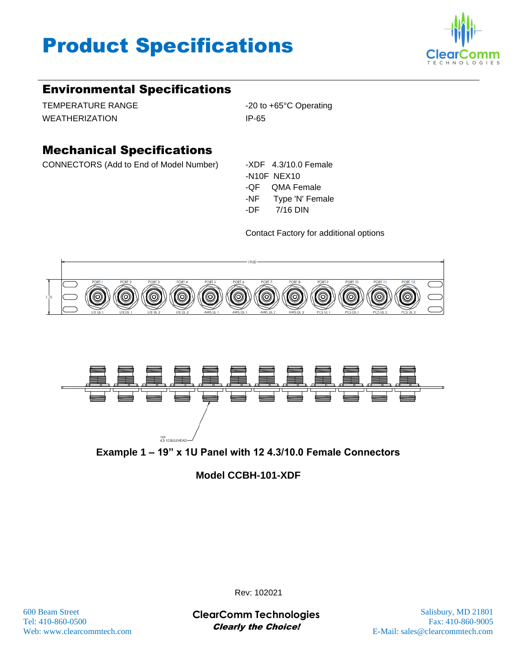# Product Specifications



### Environmental Specifications

TEMPERATURE RANGE -20 to +65°C Operating WEATHERIZATION IP-65

### Mechanical Specifications

CONNECTORS (Add to End of Model Number) -XDF 4.3/10.0 Female

-N10F NEX10 -QF QMA Female -NF Type 'N' Female -DF 7/16 DIN

Contact Factory for additional options







#### **Model CCBH-101-XDF**

600 Beam Street Salisbury, MD 21801 **ClearComm Technologies** Tel: 410-860-0500 Fax: 410-860-9005 Clearly the Choice!

Rev: 102021

Web: www.clearcommtech.com **E-Mail:** sales @clearcommtech.com **E-Mail:** sales @clearcommtech.com